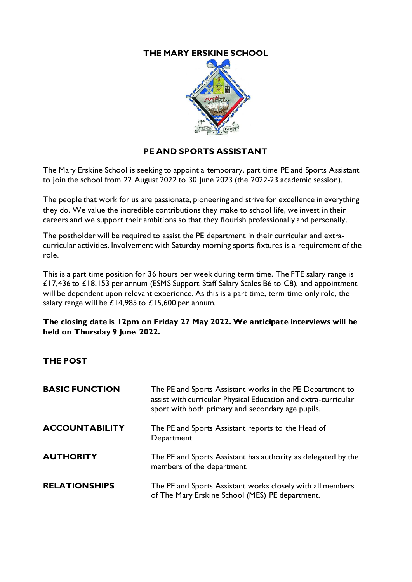### **THE MARY ERSKINE SCHOOL**



#### **PE AND SPORTS ASSISTANT**

The Mary Erskine School is seeking to appoint a temporary, part time PE and Sports Assistant to join the school from 22 August 2022 to 30 June 2023 (the 2022-23 academic session).

The people that work for us are passionate, pioneering and strive for excellence in everything they do. We value the incredible contributions they make to school life, we invest in their careers and we support their ambitions so that they flourish professionally and personally.

The postholder will be required to assist the PE department in their curricular and extracurricular activities. Involvement with Saturday morning sports fixtures is a requirement of the role.

This is a part time position for 36 hours per week during term time. The FTE salary range is £17,436 to £18,153 per annum (ESMS Support Staff Salary Scales B6 to C8), and appointment will be dependent upon relevant experience. As this is a part time, term time only role, the salary range will be £14,985 to £15,600 per annum.

#### **The closing date is 12pm on Friday 27 May 2022. We anticipate interviews will be held on Thursday 9 June 2022.**

**THE POST**

| <b>BASIC FUNCTION</b> | The PE and Sports Assistant works in the PE Department to<br>assist with curricular Physical Education and extra-curricular<br>sport with both primary and secondary age pupils. |
|-----------------------|----------------------------------------------------------------------------------------------------------------------------------------------------------------------------------|
| <b>ACCOUNTABILITY</b> | The PE and Sports Assistant reports to the Head of<br>Department.                                                                                                                |
| <b>AUTHORITY</b>      | The PE and Sports Assistant has authority as delegated by the<br>members of the department.                                                                                      |
| <b>RELATIONSHIPS</b>  | The PE and Sports Assistant works closely with all members<br>of The Mary Erskine School (MES) PE department.                                                                    |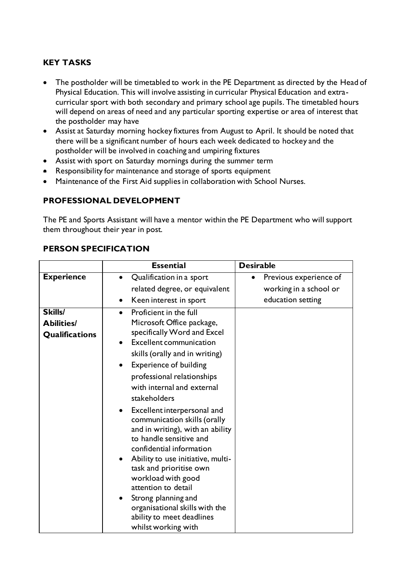# **KEY TASKS**

- The postholder will be timetabled to work in the PE Department as directed by the Head of Physical Education. This will involve assisting in curricular Physical Education and extracurricular sport with both secondary and primary school age pupils. The timetabled hours will depend on areas of need and any particular sporting expertise or area of interest that the postholder may have
- Assist at Saturday morning hockey fixtures from August to April. It should be noted that there will be a significant number of hours each week dedicated to hockey and the postholder will be involved in coaching and umpiring fixtures
- Assist with sport on Saturday mornings during the summer term
- Responsibility for maintenance and storage of sports equipment
- Maintenance of the First Aid supplies in collaboration with School Nurses.

#### **PROFESSIONAL DEVELOPMENT**

The PE and Sports Assistant will have a mentor within the PE Department who will support them throughout their year in post.

|                   | <b>Essential</b>                                                                                                                                            | <b>Desirable</b>       |
|-------------------|-------------------------------------------------------------------------------------------------------------------------------------------------------------|------------------------|
| <b>Experience</b> | Qualification in a sport<br>$\bullet$                                                                                                                       | Previous experience of |
|                   | related degree, or equivalent                                                                                                                               | working in a school or |
|                   | Keen interest in sport<br>$\bullet$                                                                                                                         | education setting      |
| Skills/           | Proficient in the full<br>$\bullet$                                                                                                                         |                        |
| <b>Abilities/</b> | Microsoft Office package,                                                                                                                                   |                        |
| Qualifications    | specifically Word and Excel<br><b>Excellent communication</b><br>$\bullet$                                                                                  |                        |
|                   | skills (orally and in writing)                                                                                                                              |                        |
|                   | <b>Experience of building</b><br>٠                                                                                                                          |                        |
|                   | professional relationships                                                                                                                                  |                        |
|                   | with internal and external                                                                                                                                  |                        |
|                   | stakeholders                                                                                                                                                |                        |
|                   | Excellent interpersonal and<br>٠<br>communication skills (orally<br>and in writing), with an ability<br>to handle sensitive and<br>confidential information |                        |
|                   | Ability to use initiative, multi-<br>٠<br>task and prioritise own<br>workload with good<br>attention to detail                                              |                        |
|                   | Strong planning and<br>٠<br>organisational skills with the<br>ability to meet deadlines<br>whilst working with                                              |                        |

#### **PERSON SPECIFICATION**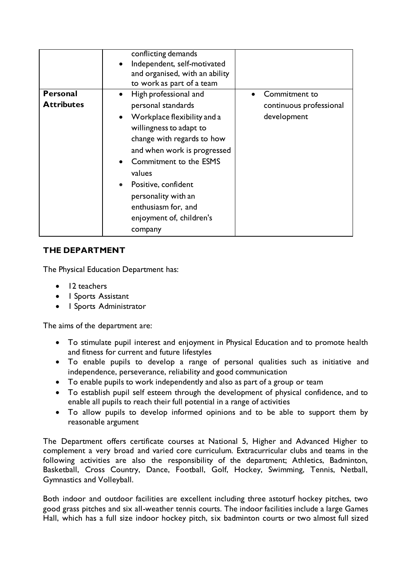|                   | conflicting demands<br>Independent, self-motivated<br>$\bullet$<br>and organised, with an ability<br>to work as part of a team                                                                                                                                                                               |
|-------------------|--------------------------------------------------------------------------------------------------------------------------------------------------------------------------------------------------------------------------------------------------------------------------------------------------------------|
| <b>Personal</b>   | High professional and<br>Commitment to<br>$\bullet$                                                                                                                                                                                                                                                          |
| <b>Attributes</b> | personal standards<br>continuous professional                                                                                                                                                                                                                                                                |
|                   | development<br>Workplace flexibility and a<br>$\bullet$<br>willingness to adapt to<br>change with regards to how<br>and when work is progressed<br>Commitment to the ESMS<br>values<br>Positive, confident<br>$\bullet$<br>personality with an<br>enthusiasm for, and<br>enjoyment of, children's<br>company |

# **THE DEPARTMENT**

The Physical Education Department has:

- 12 teachers
- I Sports Assistant
- I Sports Administrator

The aims of the department are:

- To stimulate pupil interest and enjoyment in Physical Education and to promote health and fitness for current and future lifestyles
- To enable pupils to develop a range of personal qualities such as initiative and independence, perseverance, reliability and good communication
- To enable pupils to work independently and also as part of a group or team
- To establish pupil self esteem through the development of physical confidence, and to enable all pupils to reach their full potential in a range of activities
- To allow pupils to develop informed opinions and to be able to support them by reasonable argument

The Department offers certificate courses at National 5, Higher and Advanced Higher to complement a very broad and varied core curriculum. Extracurricular clubs and teams in the following activities are also the responsibility of the department; Athletics, Badminton, Basketball, Cross Country, Dance, Football, Golf, Hockey, Swimming, Tennis, Netball, Gymnastics and Volleyball.

Both indoor and outdoor facilities are excellent including three astoturf hockey pitches, two good grass pitches and six all-weather tennis courts. The indoor facilities include a large Games Hall, which has a full size indoor hockey pitch, six badminton courts or two almost full sized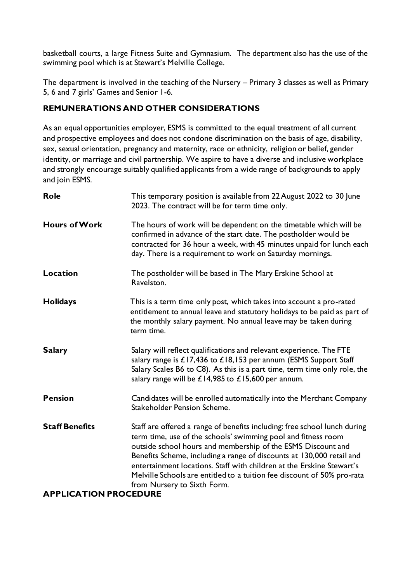basketball courts, a large Fitness Suite and Gymnasium. The department also has the use of the swimming pool which is at Stewart's Melville College.

The department is involved in the teaching of the Nursery – Primary 3 classes as well as Primary 5, 6 and 7 girls' Games and Senior 1-6.

### **REMUNERATIONS AND OTHER CONSIDERATIONS**

As an equal opportunities employer, ESMS is committed to the equal treatment of all current and prospective employees and does not condone discrimination on the basis of age, disability, sex, sexual orientation, pregnancy and maternity, race or ethnicity, religion or belief, gender identity, or marriage and civil partnership. We aspire to have a diverse and inclusive workplace and strongly encourage suitably qualified applicants from a wide range of backgrounds to apply and join ESMS.

| <b>Role</b>                  | This temporary position is available from 22 August 2022 to 30 June<br>2023. The contract will be for term time only.                                                                                                                                                                                                                                                                                                                                                  |
|------------------------------|------------------------------------------------------------------------------------------------------------------------------------------------------------------------------------------------------------------------------------------------------------------------------------------------------------------------------------------------------------------------------------------------------------------------------------------------------------------------|
| <b>Hours of Work</b>         | The hours of work will be dependent on the timetable which will be<br>confirmed in advance of the start date. The postholder would be<br>contracted for 36 hour a week, with 45 minutes unpaid for lunch each<br>day. There is a requirement to work on Saturday mornings.                                                                                                                                                                                             |
| Location                     | The postholder will be based in The Mary Erskine School at<br>Ravelston.                                                                                                                                                                                                                                                                                                                                                                                               |
| <b>Holidays</b>              | This is a term time only post, which takes into account a pro-rated<br>entitlement to annual leave and statutory holidays to be paid as part of<br>the monthly salary payment. No annual leave may be taken during<br>term time.                                                                                                                                                                                                                                       |
| <b>Salary</b>                | Salary will reflect qualifications and relevant experience. The FTE<br>salary range is $£17,436$ to $£18,153$ per annum (ESMS Support Staff<br>Salary Scales B6 to C8). As this is a part time, term time only role, the<br>salary range will be $£14,985$ to $£15,600$ per annum.                                                                                                                                                                                     |
| <b>Pension</b>               | Candidates will be enrolled automatically into the Merchant Company<br>Stakeholder Pension Scheme.                                                                                                                                                                                                                                                                                                                                                                     |
| <b>Staff Benefits</b>        | Staff are offered a range of benefits including: free school lunch during<br>term time, use of the schools' swimming pool and fitness room<br>outside school hours and membership of the ESMS Discount and<br>Benefits Scheme, including a range of discounts at 130,000 retail and<br>entertainment locations. Staff with children at the Erskine Stewart's<br>Melville Schools are entitled to a tuition fee discount of 50% pro-rata<br>from Nursery to Sixth Form. |
| <b>APPLICATION PROCEDURE</b> |                                                                                                                                                                                                                                                                                                                                                                                                                                                                        |